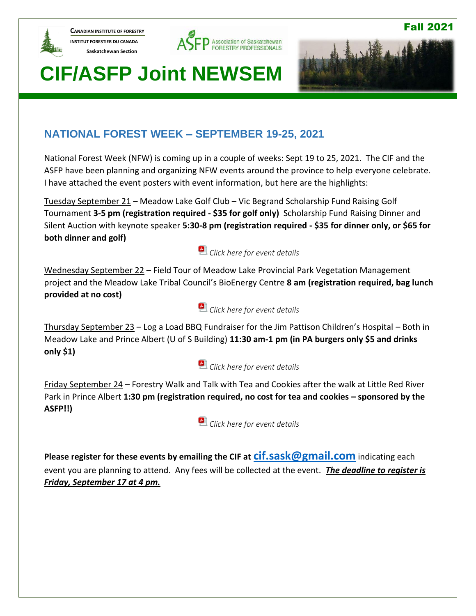

**CANADIAN INSTITUTE OF FORESTRY INSTITUT FORESTIER DU CANADA Saskatchewan Section** 





Fall 2021

# **CIF/ASFP Joint NEWSEM**

## **NATIONAL FOREST WEEK – SEPTEMBER 19-25, 2021**

National Forest Week (NFW) is coming up in a couple of weeks: Sept 19 to 25, 2021. The CIF and the ASFP have been planning and organizing NFW events around the province to help everyone celebrate. I have attached the event posters with event information, but here are the highlights:

Tuesday September 21 – Meadow Lake Golf Club – Vic Begrand Scholarship Fund Raising Golf Tournament **3-5 pm (registration required - \$35 for golf only)** Scholarship Fund Raising Dinner and Silent Auction with keynote speaker **5:30-8 pm (registration required - \$35 for dinner only, or \$65 for both dinner and golf)**

## *[Click here for event details](https://www.asfp.ca/images/Members_Only_Section/NEWSEM/National_Forest_Week/Poster_for_Scholarship_Golf_Tournament_2021.pdf)*

Wednesday September 22 – Field Tour of Meadow Lake Provincial Park Vegetation Management project and the Meadow Lake Tribal Council's BioEnergy Centre **8 am (registration required, bag lunch provided at no cost)**

### *[Click here for event details](https://www.asfp.ca/images/Members_Only_Section/NEWSEM/National_Forest_Week/Poster_for_field_tour_2021.pdf)*

Thursday September 23 – Log a Load BBQ Fundraiser for the Jim Pattison Children's Hospital – Both in Meadow Lake and Prince Albert (U of S Building) **11:30 am-1 pm (in PA burgers only \$5 and drinks only \$1)**

### *[Click here for event details](https://www.asfp.ca/images/Members_Only_Section/NEWSEM/National_Forest_Week/Log_a_Load_BBQ_poster_2021.pdf)*

Friday September 24 – Forestry Walk and Talk with Tea and Cookies after the walk at Little Red River Park in Prince Albert 1:30 pm (registration required, no cost for tea and cookies – sponsored by the **ASFP!!)**

*[Click here for event details](https://www.asfp.ca/images/Members_Only_Section/NEWSEM/National_Forest_Week/Little_Red_Park_Tour_2021.pdf)*

**Please register for these events by emailing the CIF at [cif.sask@gmail.com](mailto:cif.sask@gmail.com)** indicating each event you are planning to attend. Any fees will be collected at the event. *The deadline to register is Friday, September 17 at 4 pm.*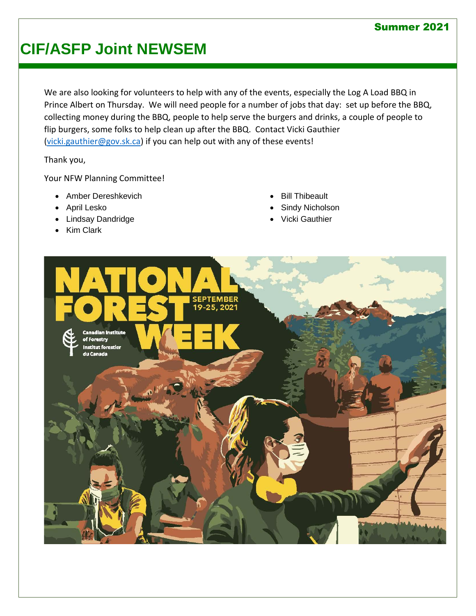#### Summer 2021

## **CIF/ASFP Joint NEWSEM**

We are also looking for volunteers to help with any of the events, especially the Log A Load BBQ in Prince Albert on Thursday. We will need people for a number of jobs that day: set up before the BBQ, collecting money during the BBQ, people to help serve the burgers and drinks, a couple of people to flip burgers, some folks to help clean up after the BBQ. Contact Vicki Gauthier [\(vicki.gauthier@gov.sk.ca\)](mailto:vicki.gauthier@gov.sk.ca) if you can help out with any of these events!

Thank you,

Your NFW Planning Committee!

- Amber Dereshkevich
- April Lesko
- Lindsay Dandridge
- Kim Clark
- **Bill Thibeault**
- Sindy Nicholson
- Vicki Gauthier

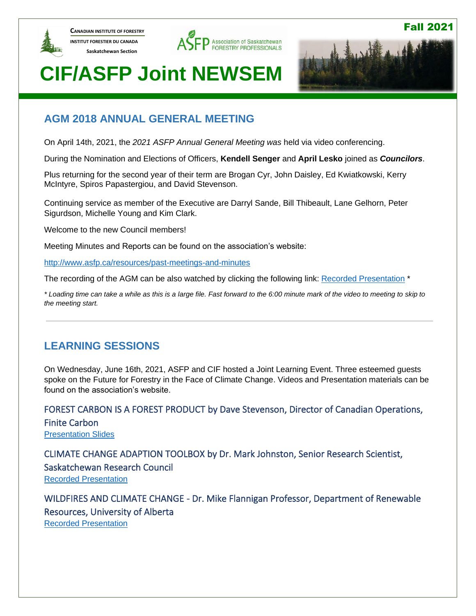

**CANADIAN INSTITUTE OF FORESTRY INSTITUT FORESTIER DU CANADA Saskatchewan Section** 





Fall 2021

## **CIF/ASFP Joint NEWSEM**

### **AGM 2018 ANNUAL GENERAL MEETING**

On April 14th, 2021, the *2021 ASFP Annual General Meeting was* held via video conferencing.

During the Nomination and Elections of Officers, **Kendell Senger** and **April Lesko** joined as *Councilors*.

Plus returning for the second year of their term are Brogan Cyr, John Daisley, Ed Kwiatkowski, Kerry McIntyre, Spiros Papastergiou, and David Stevenson.

Continuing service as member of the Executive are Darryl Sande, Bill Thibeault, Lane Gelhorn, Peter Sigurdson, Michelle Young and Kim Clark.

Welcome to the new Council members!

Meeting Minutes and Reports can be found on the association's website:

<http://www.asfp.ca/resources/past-meetings-and-minutes>

The recording of the AGM can be also watched by clicking the following link: [Recorded Presentation](https://1drv.ms/v/s!AjA0aF64BXBKg_t7ITaDAyGeoaKqbQ?e=jFfai2) \*

*\* Loading time can take a while as this is a large file. Fast forward to the 6:00 minute mark of the video to meeting to skip to the meeting start.*

### **LEARNING SESSIONS**

On Wednesday, June 16th, 2021, ASFP and CIF hosted a Joint Learning Event. Three esteemed guests spoke on the Future for Forestry in the Face of Climate Change. Videos and Presentation materials can be found on the association's website.

FOREST CARBON IS A FOREST PRODUCT by Dave Stevenson, Director of Canadian Operations, Finite Carbon [Presentation Slides](https://1drv.ms/b/s!AjA0aF64BXBKg_17LyyWNDeY_7fP1Q?e=bAJ0fg)

CLIMATE CHANGE ADAPTION TOOLBOX by Dr. Mark Johnston, Senior Research Scientist, Saskatchewan Research Council [Recorded Presentation](https://1drv.ms/v/s!AjA0aF64BXBKg_9QG8Qwq-Hggz2Q7g?e=zU97pV%0c)

WILDFIRES AND CLIMATE CHANGE - Dr. Mike Flannigan Professor, Department of Renewable Resources, University of Alberta [Recorded Presentation](https://1drv.ms/u/s!AjA0aF64BXBKg_9gLTvWhioigvHbRQ?e=JHRi05)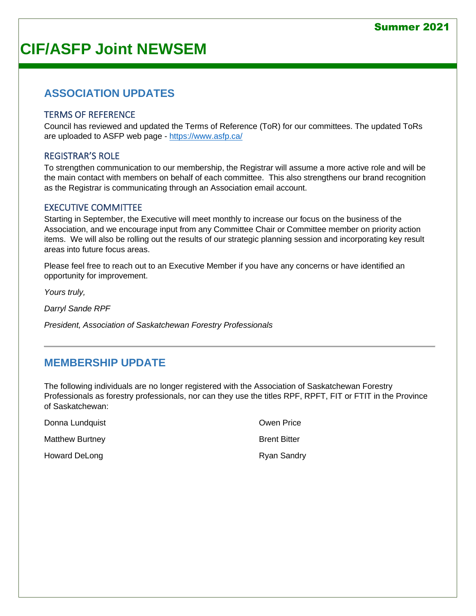#### Summer 2021

## **CIF/ASFP Joint NEWSEM**

### **ASSOCIATION UPDATES**

#### TERMS OF REFERENCE

Council has reviewed and updated the Terms of Reference (ToR) for our committees. The updated ToRs are uploaded to ASFP web page - <https://www.asfp.ca/>

#### REGISTRAR'S ROLE

To strengthen communication to our membership, the Registrar will assume a more active role and will be the main contact with members on behalf of each committee. This also strengthens our brand recognition as the Registrar is communicating through an Association email account.

#### EXECUTIVE COMMITTEE

Starting in September, the Executive will meet monthly to increase our focus on the business of the Association, and we encourage input from any Committee Chair or Committee member on priority action items. We will also be rolling out the results of our strategic planning session and incorporating key result areas into future focus areas.

Please feel free to reach out to an Executive Member if you have any concerns or have identified an opportunity for improvement.

*Yours truly,*

*Darryl Sande RPF*

*President, Association of Saskatchewan Forestry Professionals*

### **MEMBERSHIP UPDATE**

The following individuals are no longer registered with the Association of Saskatchewan Forestry Professionals as forestry professionals, nor can they use the titles RPF, RPFT, FIT or FTIT in the Province of Saskatchewan:

| Donna Lundquist        | <b>Owen Price</b>   |
|------------------------|---------------------|
| <b>Matthew Burtney</b> | <b>Brent Bitter</b> |
| Howard DeLong          | <b>Ryan Sandry</b>  |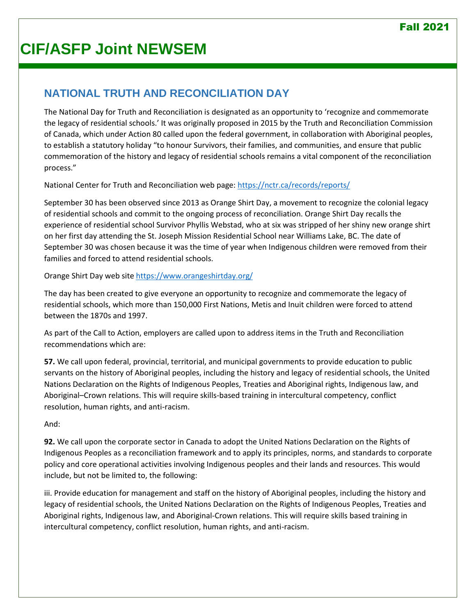## **NATIONAL TRUTH AND RECONCILIATION DAY**

The National Day for Truth and Reconciliation is designated as an opportunity to 'recognize and commemorate the legacy of residential schools.' It was originally proposed in 2015 by the Truth and Reconciliation Commission of Canada, which under Action 80 called upon the federal government, in collaboration with Aboriginal peoples, to establish a statutory holiday "to honour Survivors, their families, and communities, and ensure that public commemoration of the history and legacy of residential schools remains a vital component of the reconciliation process."

National Center for Truth and Reconciliation web page[: https://nctr.ca/records/reports/](https://nctr.ca/records/reports/)

September 30 has been observed since 2013 as Orange Shirt Day, a movement to recognize the colonial legacy of residential schools and commit to the ongoing process of reconciliation. Orange Shirt Day recalls the experience of residential school Survivor Phyllis Webstad, who at six was stripped of her shiny new orange shirt on her first day attending the St. Joseph Mission Residential School near Williams Lake, BC. The date of September 30 was chosen because it was the time of year when Indigenous children were removed from their families and forced to attend residential schools.

Orange Shirt Day web site<https://www.orangeshirtday.org/>

The day has been created to give everyone an opportunity to recognize and commemorate the legacy of residential schools, which more than 150,000 First Nations, Metis and Inuit children were forced to attend between the 1870s and 1997.

As part of the Call to Action, employers are called upon to address items in the Truth and Reconciliation recommendations which are:

**57.** We call upon federal, provincial, territorial, and municipal governments to provide education to public servants on the history of Aboriginal peoples, including the history and legacy of residential schools, the United Nations Declaration on the Rights of Indigenous Peoples, Treaties and Aboriginal rights, Indigenous law, and Aboriginal–Crown relations. This will require skills-based training in intercultural competency, conflict resolution, human rights, and anti-racism.

#### And:

**92.** We call upon the corporate sector in Canada to adopt the United Nations Declaration on the Rights of Indigenous Peoples as a reconciliation framework and to apply its principles, norms, and standards to corporate policy and core operational activities involving Indigenous peoples and their lands and resources. This would include, but not be limited to, the following:

iii. Provide education for management and staff on the history of Aboriginal peoples, including the history and legacy of residential schools, the United Nations Declaration on the Rights of Indigenous Peoples, Treaties and Aboriginal rights, Indigenous law, and Aboriginal-Crown relations. This will require skills based training in intercultural competency, conflict resolution, human rights, and anti-racism.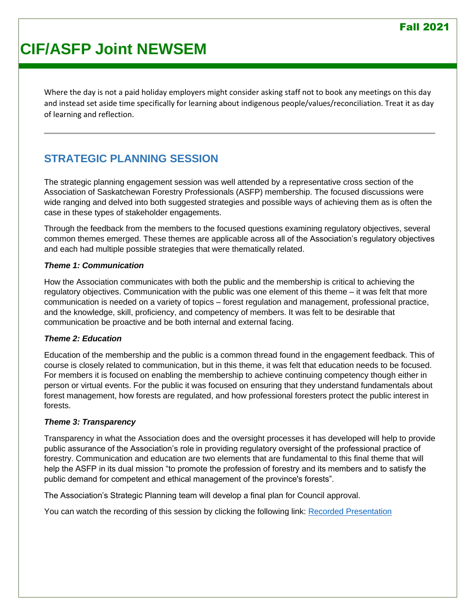Where the day is not a paid holiday employers might consider asking staff not to book any meetings on this day and instead set aside time specifically for learning about indigenous people/values/reconciliation. Treat it as day of learning and reflection.

## **STRATEGIC PLANNING SESSION**

The strategic planning engagement session was well attended by a representative cross section of the Association of Saskatchewan Forestry Professionals (ASFP) membership. The focused discussions were wide ranging and delved into both suggested strategies and possible ways of achieving them as is often the case in these types of stakeholder engagements.

Through the feedback from the members to the focused questions examining regulatory objectives, several common themes emerged. These themes are applicable across all of the Association's regulatory objectives and each had multiple possible strategies that were thematically related.

#### *Theme 1: Communication*

How the Association communicates with both the public and the membership is critical to achieving the regulatory objectives. Communication with the public was one element of this theme – it was felt that more communication is needed on a variety of topics – forest regulation and management, professional practice, and the knowledge, skill, proficiency, and competency of members. It was felt to be desirable that communication be proactive and be both internal and external facing.

#### *Theme 2: Education*

Education of the membership and the public is a common thread found in the engagement feedback. This of course is closely related to communication, but in this theme, it was felt that education needs to be focused. For members it is focused on enabling the membership to achieve continuing competency though either in person or virtual events. For the public it was focused on ensuring that they understand fundamentals about forest management, how forests are regulated, and how professional foresters protect the public interest in forests.

#### *Theme 3: Transparency*

Transparency in what the Association does and the oversight processes it has developed will help to provide public assurance of the Association's role in providing regulatory oversight of the professional practice of forestry. Communication and education are two elements that are fundamental to this final theme that will help the ASFP in its dual mission "to promote the profession of forestry and its members and to satisfy the public demand for competent and ethical management of the province's forests".

The Association's Strategic Planning team will develop a final plan for Council approval.

You can watch the recording of this session by clicking the following link: [Recorded Presentation](https://1drv.ms/v/s!AjA0aF64BXBKg_9ksCTU_wXJH0EmWQ?e=krvyph)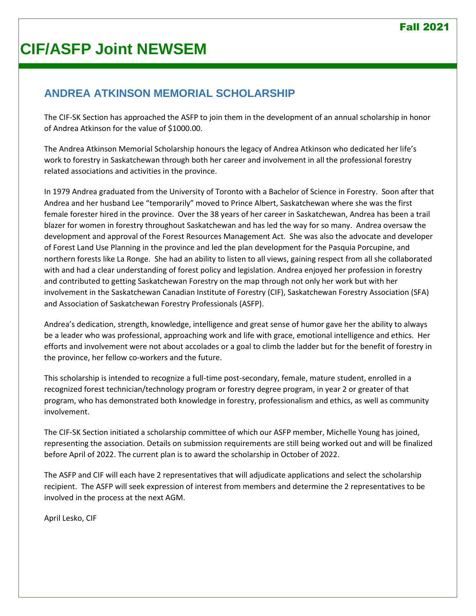## **ANDREA ATKINSON MEMORIAL SCHOLARSHIP**

The CIF-SK Section has approached the ASFP to join them in the development of an annual scholarship in honor of Andrea Atkinson for the value of \$1000.00.

The Andrea Atkinson Memorial Scholarship honours the legacy of Andrea Atkinson who dedicated her life's work to forestry in Saskatchewan through both her career and involvement in all the professional forestry related associations and activities in the province.

In 1979 Andrea graduated from the University of Toronto with a Bachelor of Science in Forestry. Soon after that Andrea and her husband Lee "temporarily" moved to Prince Albert, Saskatchewan where she was the first female forester hired in the province. Over the 38 years of her career in Saskatchewan, Andrea has been a trail blazer for women in forestry throughout Saskatchewan and has led the way for so many. Andrea oversaw the development and approval of the Forest Resources Management Act. She was also the advocate and developer of Forest Land Use Planning in the province and led the plan development for the Pasquia Porcupine, and northern forests like La Ronge. She had an ability to listen to all views, gaining respect from all she collaborated with and had a clear understanding of forest policy and legislation. Andrea enjoyed her profession in forestry and contributed to getting Saskatchewan Forestry on the map through not only her work but with her involvement in the Saskatchewan Canadian Institute of Forestry (CIF), Saskatchewan Forestry Association (SFA) and Association of Saskatchewan Forestry Professionals (ASFP).

Andrea's dedication, strength, knowledge, intelligence and great sense of humor gave her the ability to always be a leader who was professional, approaching work and life with grace, emotional intelligence and ethics. Her efforts and involvement were not about accolades or a goal to climb the ladder but for the benefit of forestry in the province, her fellow co-workers and the future.

This scholarship is intended to recognize a full-time post-secondary, female, mature student, enrolled in a recognized forest technician/technology program or forestry degree program, in year 2 or greater of that program, who has demonstrated both knowledge in forestry, professionalism and ethics, as well as community involvement.

The CIF-SK Section initiated a scholarship committee of which our ASFP member, Michelle Young has joined, representing the association. Details on submission requirements are still being worked out and will be finalized before April of 2022. The current plan is to award the scholarship in October of 2022.

The ASFP and CIF will each have 2 representatives that will adjudicate applications and select the scholarship recipient. The ASFP will seek expression of interest from members and determine the 2 representatives to be involved in the process at the next AGM.

April Lesko, CIF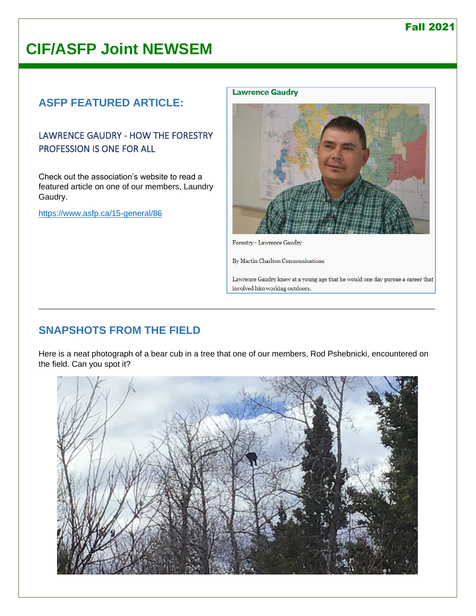## **CIF/ASFP Joint NEWSEM**

## **ASFP FEATURED ARTICLE:**

### LAWRENCE GAUDRY - HOW THE FORESTRY PROFESSION IS ONE FOR ALL

Check out the association's website to read a featured article on one of our members, Laundry Gaudry.

<https://www.asfp.ca/15-general/86>

#### **Lawrence Gaudry**



Forestry - Lawrence Gaudry

By Martin Charlton Communications

Lawrence Gaudry knew at a young age that he would one day pursue a career that involved him working outdoors.

## **SNAPSHOTS FROM THE FIELD**

Here is a neat photograph of a bear cub in a tree that one of our members, Rod Pshebnicki, encountered on the field. Can you spot it?

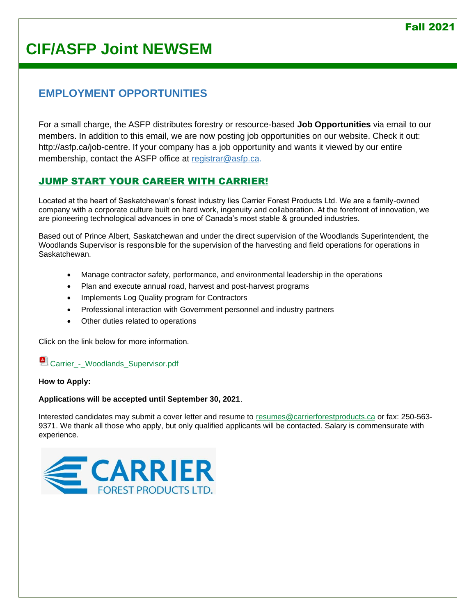## **EMPLOYMENT OPPORTUNITIES**

For a small charge, the ASFP distributes forestry or resource-based **Job Opportunities** via email to our members. In addition to this email, we are now posting job opportunities on our website. Check it out: [http://asfp.ca/job-centre.](http://asfp.ca/job-centre) If your company has a job opportunity and wants it viewed by our entire membership, contact the ASFP office at [registrar@asfp.ca.](mailto:registrar@asfp.ca)

### [JUMP START YOUR CAREER WITH](https://www.asfp.ca/job-centre/72-job-6) CARRIER!

Located at the heart of Saskatchewan's forest industry lies Carrier Forest Products Ltd. We are a family-owned company with a corporate culture built on hard work, ingenuity and collaboration. At the forefront of innovation, we are pioneering technological advances in one of Canada's most stable & grounded industries.

Based out of Prince Albert, Saskatchewan and under the direct supervision of the Woodlands Superintendent, the Woodlands Supervisor is responsible for the supervision of the harvesting and field operations for operations in Saskatchewan.

- Manage contractor safety, performance, and environmental leadership in the operations
- Plan and execute annual road, harvest and post-harvest programs
- Implements Log Quality program for Contractors
- Professional interaction with Government personnel and industry partners
- Other duties related to operations

Click on the link below for more information.

**Carrier** - Woodlands Supervisor.pdf

**How to Apply:**

**Applications will be accepted until September 30, 2021**.

Interested candidates may submit a cover letter and resume to [resumes@carrierforestproducts.ca](mailto:resumes@carrierforestproducts.ca) or fax: 250-563- 9371. We thank all those who apply, but only qualified applicants will be contacted. Salary is commensurate with experience.

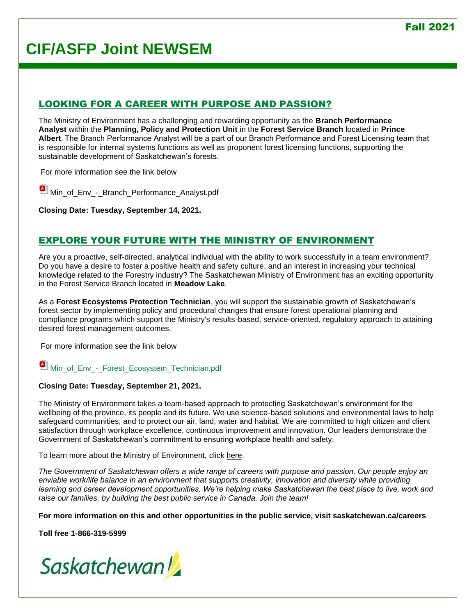### [LOOKING FOR A CAREER WITH PURPOSE AND PASSION?](https://www.asfp.ca/job-centre/71-job-1)

The Ministry of Environment has a challenging and rewarding opportunity as the **Branch Performance Analyst** within the **Planning, Policy and Protection Unit** in the **Forest Service Branch** located in **Prince Albert**. The Branch Performance Analyst will be a part of our Branch Performance and Forest Licensing team that is responsible for internal systems functions as well as proponent forest licensing functions, supporting the sustainable development of Saskatchewan's forests.

For more information see the link below

 $\blacksquare$  [Min\\_of\\_Env\\_-\\_Branch\\_Performance\\_Analyst.pdf](https://www.asfp.ca/images/Job_Postings/J21-026_-_Min_of_Env_-_Branch_Performance_Analyst.pdf)

**Closing Date: Tuesday, September 14, 2021.**

#### [EXPLORE YOUR FUTURE WITH THE MINISTRY OF ENVIRONMENT](https://www.asfp.ca/job-centre/43-job-5)

Are you a proactive, self-directed, analytical individual with the ability to work successfully in a team environment? Do you have a desire to foster a positive health and safety culture, and an interest in increasing your technical knowledge related to the Forestry industry? The Saskatchewan Ministry of Environment has an exciting opportunity in the Forest Service Branch located in **Meadow Lake**.

As a **Forest Ecosystems Protection Technician**, you will support the sustainable growth of Saskatchewan's forest sector by implementing policy and procedural changes that ensure forest operational planning and compliance programs which support the Ministry's results-based, service-oriented, regulatory approach to attaining desired forest management outcomes.

For more information see the link below

#### Min\_of\_Env - Forest Ecosystem\_Technician.pdf

#### **Closing Date: Tuesday, September 21, 2021.**

The Ministry of Environment takes a team-based approach to protecting Saskatchewan's environment for the wellbeing of the province, its people and its future. We use science-based solutions and environmental laws to help safeguard communities, and to protect our air, land, water and habitat. We are committed to high citizen and client satisfaction through workplace excellence, continuous improvement and innovation. Our leaders demonstrate the Government of Saskatchewan's commitment to ensuring workplace health and safety.

To learn more about the Ministry of Environment, click [here.](https://www.saskatchewan.ca/government/government-structure/ministries/environment)

*The Government of Saskatchewan offers a wide range of careers with purpose and passion. Our people enjoy an enviable work/life balance in an environment that supports creativity, innovation and diversity while providing learning and career development opportunities. We're helping make Saskatchewan the best place to live, work and raise our families, by building the best public service in Canada. Join the team!*

**For more information on this and other opportunities in the public service, visit saskatchewan.ca/careers**

**Toll free 1-866-319-5999**

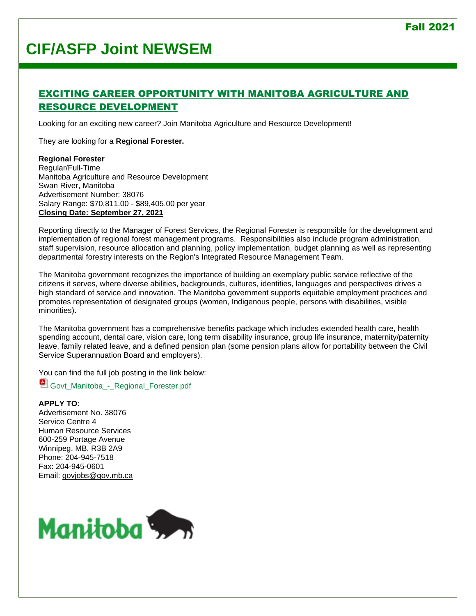### [EXCITING CAREER OPPORTUNITY WITH MANITOBA AGRICULTURE AND](https://www.asfp.ca/job-centre/70-job-4)  [RESOURCE DEVELOPMENT](https://www.asfp.ca/job-centre/70-job-4)

Looking for an exciting new career? Join Manitoba Agriculture and Resource Development!

They are looking for a **Regional Forester.**

#### **Regional Forester**

Regular/Full-Time Manitoba Agriculture and Resource Development Swan River, Manitoba Advertisement Number: 38076 Salary Range: \$70,811.00 - \$89,405.00 per year **Closing Date: September 27, 2021**

Reporting directly to the Manager of Forest Services, the Regional Forester is responsible for the development and implementation of regional forest management programs. Responsibilities also include program administration, staff supervision, resource allocation and planning, policy implementation, budget planning as well as representing departmental forestry interests on the Region's Integrated Resource Management Team.

The Manitoba government recognizes the importance of building an exemplary public service reflective of the citizens it serves, where diverse abilities, backgrounds, cultures, identities, languages and perspectives drives a high standard of service and innovation. The Manitoba government supports equitable employment practices and promotes representation of designated groups (women, Indigenous people, persons with disabilities, visible minorities).

The Manitoba government has a comprehensive benefits package which includes extended health care, health spending account, dental care, vision care, long term disability insurance, group life insurance, maternity/paternity leave, family related leave, and a defined pension plan (some pension plans allow for portability between the Civil Service Superannuation Board and employers).

You can find the full job posting in the link below:

[Govt\\_Manitoba\\_-\\_Regional\\_Forester.pdf](https://www.asfp.ca/images/Job_Postings/J21-023_-_Govt_Manitoba_-_Regional_Forester.pdf)

**APPLY TO:** Advertisement No. 38076 Service Centre 4 Human Resource Services 600-259 Portage Avenue Winnipeg, MB. R3B 2A9 Phone: 204-945-7518 Fax: 204-945-0601 Email: [govjobs@gov.mb.ca](mailto:govjobs@gov.mb.ca)

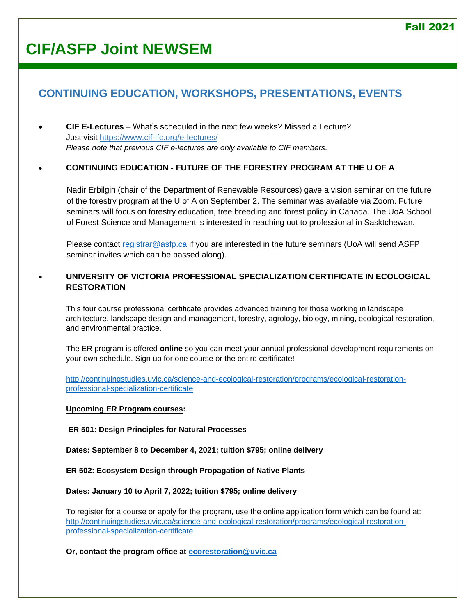## **CONTINUING EDUCATION, WORKSHOPS, PRESENTATIONS, EVENTS**

• **CIF E-Lectures** – What's scheduled in the next few weeks? Missed a Lecture? Just visit<https://www.cif-ifc.org/e-lectures/> *Please note that previous CIF e-lectures are only available to CIF members.*

#### • **CONTINUING EDUCATION - FUTURE OF THE FORESTRY PROGRAM AT THE U OF A**

Nadir Erbilgin (chair of the Department of Renewable Resources) gave a vision seminar on the future of the forestry program at the U of A on September 2. The seminar was available via Zoom. Future seminars will focus on forestry education, tree breeding and forest policy in Canada. The UoA School of Forest Science and Management is interested in reaching out to professional in Sasktchewan.

Please contact [registrar@asfp.ca](mailto:registrar@asfp.ca) if you are interested in the future seminars (UoA will send ASFP seminar invites which can be passed along).

#### • **UNIVERSITY OF VICTORIA PROFESSIONAL SPECIALIZATION CERTIFICATE IN ECOLOGICAL RESTORATION**

This four course professional certificate provides advanced training for those working in landscape architecture, landscape design and management, forestry, agrology, biology, mining, ecological restoration, and environmental practice.

The ER program is offered **online** so you can meet your annual professional development requirements on your own schedule. Sign up for one course or the entire certificate!

[http://continuingstudies.uvic.ca/science-and-ecological-restoration/programs/ecological-restoration](http://continuingstudies.uvic.ca/science-and-ecological-restoration/programs/ecological-restoration-professional-specialization-certificate)[professional-specialization-certificate](http://continuingstudies.uvic.ca/science-and-ecological-restoration/programs/ecological-restoration-professional-specialization-certificate)

#### **Upcoming ER Program courses:**

**ER 501: Design Principles for Natural Processes**

**Dates: September 8 to December 4, 2021; tuition \$795; online delivery**

**ER 502: Ecosystem Design through Propagation of Native Plants**

**Dates: January 10 to April 7, 2022; tuition \$795; online delivery**

To register for a course or apply for the program, use the online application form which can be found at: [http://continuingstudies.uvic.ca/science-and-ecological-restoration/programs/ecological-restoration](http://continuingstudies.uvic.ca/science-and-ecological-restoration/programs/ecological-restoration-professional-specialization-certificate)[professional-specialization-certificate](http://continuingstudies.uvic.ca/science-and-ecological-restoration/programs/ecological-restoration-professional-specialization-certificate)

#### **Or, contact the program office at [ecorestoration@uvic.ca](mailto:ecorestoration@uvic.ca)**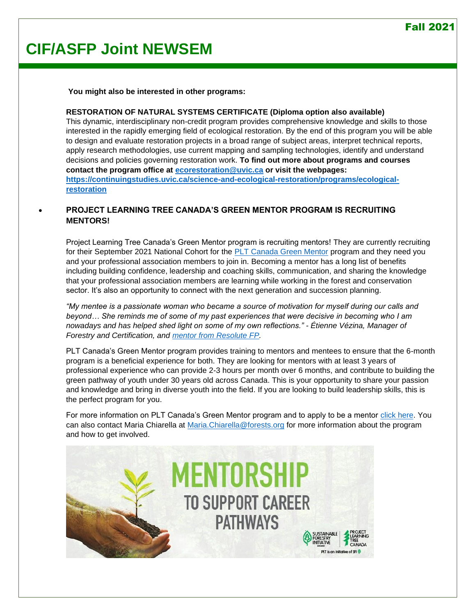**You might also be interested in other programs:**

#### **RESTORATION OF NATURAL SYSTEMS CERTIFICATE (Diploma option also available)**

This dynamic, interdisciplinary non-credit program provides comprehensive knowledge and skills to those interested in the rapidly emerging field of ecological restoration. By the end of this program you will be able to design and evaluate restoration projects in a broad range of subject areas, interpret technical reports, apply research methodologies, use current mapping and sampling technologies, identify and understand decisions and policies governing restoration work. **To find out more about programs and courses contact the program office at [ecorestoration@uvic.ca](mailto:ecorestoration@uvic.ca) or visit the webpages: [https://continuingstudies.uvic.ca/science-and-ecological-restoration/programs/ecological](https://continuingstudies.uvic.ca/science-and-ecological-restoration/programs/ecological-restoration)[restoration](https://continuingstudies.uvic.ca/science-and-ecological-restoration/programs/ecological-restoration)**

#### • **PROJECT LEARNING TREE CANADA'S GREEN MENTOR PROGRAM IS RECRUITING MENTORS!**

Project Learning Tree Canada's Green Mentor program is recruiting mentors! They are currently recruiting for their September 2021 National Cohort for the [PLT Canada Green Mentor](https://pltcanada.org/en/green-jobs/mentorship-program-for-youth-in-forest-conservation/) program and they need you and your professional association members to join in. Becoming a mentor has a long list of benefits including building confidence, leadership and coaching skills, communication, and sharing the knowledge that your professional association members are learning while working in the forest and conservation sector. It's also an opportunity to connect with the next generation and succession planning.

*"My mentee is a passionate woman who became a source of motivation for myself during our calls and beyond… She reminds me of some of my past experiences that were decisive in becoming who I am nowadays and has helped shed light on some of my own reflections." - Étienne Vézina, Manager of Forestry and Certification, and [mentor from Resolute FP.](https://pltcanada.org/en/pltcanadas-mentorship-program-can-transform-lives/)* 

PLT Canada's Green Mentor program provides training to mentors and mentees to ensure that the 6-month program is a beneficial experience for both. They are looking for mentors with at least 3 years of professional experience who can provide 2-3 hours per month over 6 months, and contribute to building the green pathway of youth under 30 years old across Canada. This is your opportunity to share your passion and knowledge and bring in diverse youth into the field. If you are looking to build leadership skills, this is the perfect program for you.

For more information on PLT Canada's Green Mentor program and to apply to be a mentor [click here.](https://pltcanada.org/en/i-want-to-be-a-mentor/) You can also contact Maria Chiarella at [Maria.Chiarella@forests.org](mailto:Maria.Chiarella@forests.org) for more information about the program and how to get involved.

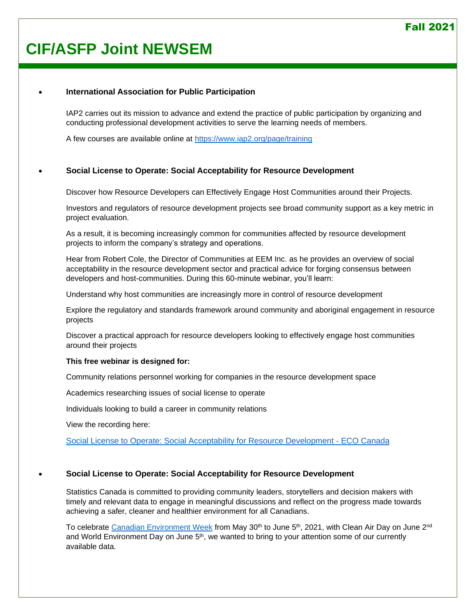## **CIF/ASFP Joint NEWSEM**

#### • **International Association for Public Participation**

IAP2 carries out its mission to advance and extend the practice of public participation by organizing and conducting professional development activities to serve the learning needs of members.

A few courses are available online at<https://www.iap2.org/page/training>

#### • **Social License to Operate: Social Acceptability for Resource Development**

Discover how Resource Developers can Effectively Engage Host Communities around their Projects.

Investors and regulators of resource development projects see broad community support as a key metric in project evaluation.

As a result, it is becoming increasingly common for communities affected by resource development projects to inform the company's strategy and operations.

Hear from Robert Cole, the Director of Communities at EEM Inc. as he provides an overview of social acceptability in the resource development sector and practical advice for forging consensus between developers and host-communities. During this 60-minute webinar, you'll learn:

Understand why host communities are increasingly more in control of resource development

Explore the regulatory and standards framework around community and aboriginal engagement in resource projects

Discover a practical approach for resource developers looking to effectively engage host communities around their projects

#### **This free webinar is designed for:**

Community relations personnel working for companies in the resource development space

Academics researching issues of social license to operate

Individuals looking to build a career in community relations

View the recording here:

[Social License to Operate: Social Acceptability for Resource Development -](https://eco.ca/online-learning/social-license-to-operate-social-acceptability-for-resource-development/) ECO Canada

#### • **Social License to Operate: Social Acceptability for Resource Development**

Statistics Canada is committed to providing community leaders, storytellers and decision makers with timely and relevant data to engage in meaningful discussions and reflect on the progress made towards achieving a safer, cleaner and healthier environment for all Canadians.

To celebrate [Canadian Environment Week](https://www.canada.ca/en/environment-climate-change/services/canadian-environment-week.html) from May 30<sup>th</sup> to June 5<sup>th</sup>, 2021, with Clean Air Day on June 2<sup>nd</sup> and World Environment Day on June  $5<sup>th</sup>$ , we wanted to bring to your attention some of our currently available data.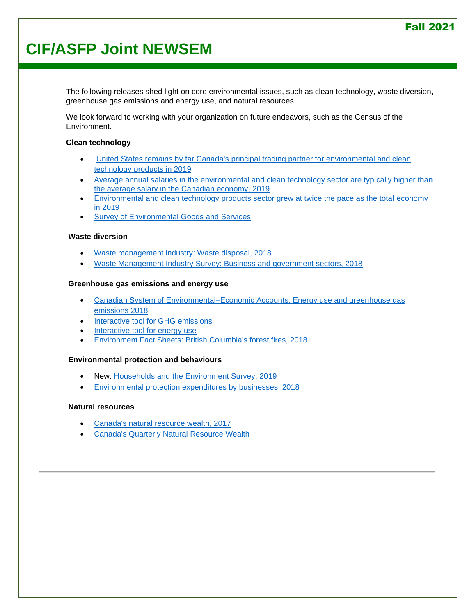## **CIF/ASFP Joint NEWSEM**

The following releases shed light on core environmental issues, such as clean technology, waste diversion, greenhouse gas emissions and energy use, and natural resources.

We look forward to working with your organization on future endeavors, such as the Census of the Environment.

#### **Clean technology**

- [United States remains by far Canada's principal trading partner for environmental and clean](https://www150.statcan.gc.ca/n1/daily-quotidien/210413/dq210413e-eng.htm)  [technology products in 2019](https://www150.statcan.gc.ca/n1/daily-quotidien/210413/dq210413e-eng.htm)
- Average annual salaries in the environmental and clean technology sector are typically higher than [the average salary in the Canadian economy, 2019](https://www150.statcan.gc.ca/n1/daily-quotidien/210326/dq210326e-eng.htm)
- [Environmental and clean technology products sector grew at twice the pace as the total economy](https://www150.statcan.gc.ca/n1/daily-quotidien/201218/dq201218d-eng.htm)  [in 2019](https://www150.statcan.gc.ca/n1/daily-quotidien/201218/dq201218d-eng.htm)
- [Survey of Environmental Goods and Services](https://www150.statcan.gc.ca/n1/daily-quotidien/210505/dq210505b-eng.htm)

#### **Waste diversion**

- [Waste management industry: Waste disposal, 2018](https://www150.statcan.gc.ca/n1/daily-quotidien/200709/dq200709e-eng.htm)
- [Waste Management Industry Survey: Business and government sectors, 2018](https://www150.statcan.gc.ca/n1/daily-quotidien/210308/dq210308d-eng.htm)

#### **Greenhouse gas emissions and energy use**

- [Canadian System of Environmental–Economic Accounts: Energy use and greenhouse gas](https://www150.statcan.gc.ca/n1/daily-quotidien/210326/dq210326d-eng.htm)  [emissions 2018.](https://www150.statcan.gc.ca/n1/daily-quotidien/210326/dq210326d-eng.htm)
- [Interactive tool for GHG emissions](https://www150.statcan.gc.ca/n1/pub/71-607-x/71-607-x2020008-eng.htm)
- [Interactive tool for energy use](https://www150.statcan.gc.ca/n1/pub/71-607-x/71-607-x2020022-eng.htm)
- [Environment Fact Sheets: British Columbia's forest fires, 2018](https://www150.statcan.gc.ca/n1/daily-quotidien/190529/dq190529e-eng.htm)

#### **Environmental protection and behaviours**

- New: [Households and the Environment Survey, 2019](https://www150.statcan.gc.ca/n1/daily-quotidien/210601/dq210601c-eng.htm)
- [Environmental protection expenditures by businesses, 2018](https://www150.statcan.gc.ca/n1/daily-quotidien/210126/dq210126b-eng.htm)

#### **Natural resources**

- [Canada's natural resource wealth, 2017](https://www150.statcan.gc.ca/n1/daily-quotidien/190410/dq190410d-eng.htm)
- [Canada's Quarterly Natural Resource Wealth](https://www150.statcan.gc.ca/n1/pub/16-002-x/2017001/article/14825-eng.htm)